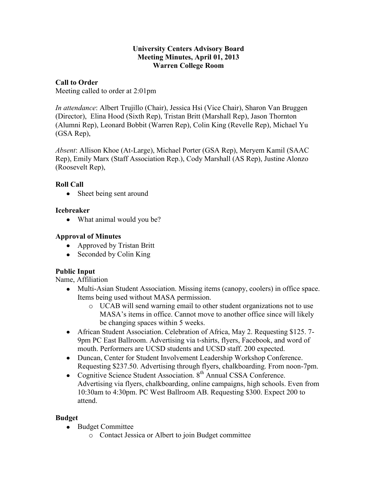### **University Centers Advisory Board Meeting Minutes, April 01, 2013 Warren College Room**

## **Call to Order**

Meeting called to order at 2:01pm

*In attendance*: Albert Trujillo (Chair), Jessica Hsi (Vice Chair), Sharon Van Bruggen (Director), Elina Hood (Sixth Rep), Tristan Britt (Marshall Rep), Jason Thornton (Alumni Rep), Leonard Bobbit (Warren Rep), Colin King (Revelle Rep), Michael Yu (GSA Rep),

*Absent*: Allison Khoe (At-Large), Michael Porter (GSA Rep), Meryem Kamil (SAAC Rep), Emily Marx (Staff Association Rep.), Cody Marshall (AS Rep), Justine Alonzo (Roosevelt Rep),

# **Roll Call**

Sheet being sent around  $\bullet$ 

## **Icebreaker**

• What animal would you be?

## **Approval of Minutes**

- Approved by Tristan Britt
- Seconded by Colin King

# **Public Input**

Name, Affiliation

- Multi-Asian Student Association. Missing items (canopy, coolers) in office space. Items being used without MASA permission.
	- o UCAB will send warning email to other student organizations not to use MASA's items in office. Cannot move to another office since will likely be changing spaces within 5 weeks.
- African Student Association. Celebration of Africa, May 2. Requesting \$125. 7- 9pm PC East Ballroom. Advertising via t-shirts, flyers, Facebook, and word of mouth. Performers are UCSD students and UCSD staff. 200 expected.
- Duncan, Center for Student Involvement Leadership Workshop Conference. Requesting \$237.50. Advertising through flyers, chalkboarding. From noon-7pm.
- Cognitive Science Student Association.  $8<sup>th</sup>$  Annual CSSA Conference. Advertising via flyers, chalkboarding, online campaigns, high schools. Even from 10:30am to 4:30pm. PC West Ballroom AB. Requesting \$300. Expect 200 to attend.

### **Budget**

- Budget Committee
	- o Contact Jessica or Albert to join Budget committee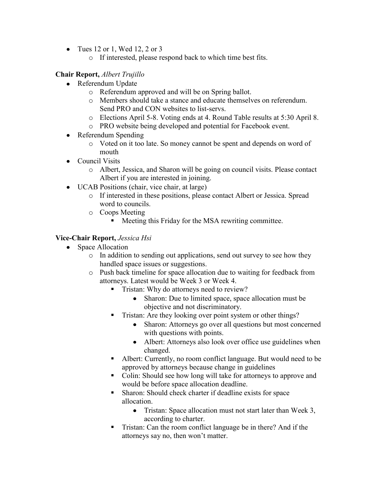- Tues 12 or 1, Wed 12, 2 or 3
	- o If interested, please respond back to which time best fits.

## **Chair Report,** *Albert Trujillo*

- Referendum Update
	- o Referendum approved and will be on Spring ballot.
	- o Members should take a stance and educate themselves on referendum. Send PRO and CON websites to list-servs.
	- o Elections April 5-8. Voting ends at 4. Round Table results at 5:30 April 8.
	- o PRO website being developed and potential for Facebook event.
- Referendum Spending
	- o Voted on it too late. So money cannot be spent and depends on word of mouth
- Council Visits
	- o Albert, Jessica, and Sharon will be going on council visits. Please contact Albert if you are interested in joining.
- UCAB Positions (chair, vice chair, at large)
	- o If interested in these positions, please contact Albert or Jessica. Spread word to councils.
	- o Coops Meeting
		- **Meeting this Friday for the MSA rewriting committee.**

## **Vice-Chair Report,** *Jessica Hsi*

- Space Allocation
	- o In addition to sending out applications, send out survey to see how they handled space issues or suggestions.
	- o Push back timeline for space allocation due to waiting for feedback from attorneys. Latest would be Week 3 or Week 4.
		- Tristan: Why do attorneys need to review?
			- Sharon: Due to limited space, space allocation must be  $\bullet$ objective and not discriminatory.
		- **Tristan:** Are they looking over point system or other things?
			- Sharon: Attorneys go over all questions but most concerned with questions with points.
			- Albert: Attorneys also look over office use guidelines when changed.
		- Albert: Currently, no room conflict language. But would need to be approved by attorneys because change in guidelines
		- Colin: Should see how long will take for attorneys to approve and would be before space allocation deadline.
		- Sharon: Should check charter if deadline exists for space allocation.
			- $\bullet$ Tristan: Space allocation must not start later than Week 3, according to charter.
		- Tristan: Can the room conflict language be in there? And if the attorneys say no, then won't matter.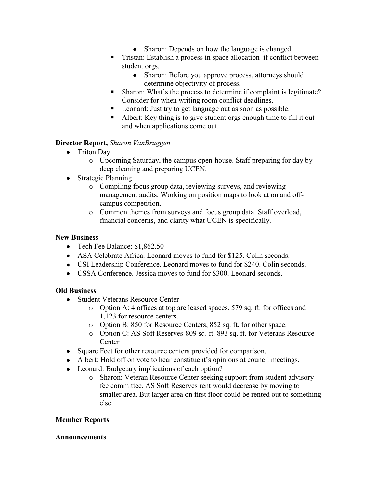- Sharon: Depends on how the language is changed.
- **Tristan: Establish a process in space allocation if conflict between** student orgs.
	- Sharon: Before you approve process, attorneys should determine objectivity of process.
- Sharon: What's the process to determine if complaint is legitimate? Consider for when writing room conflict deadlines.
- **Leonard:** Just try to get language out as soon as possible.
- Albert: Key thing is to give student orgs enough time to fill it out and when applications come out.

### **Director Report,** *Sharon VanBruggen*

- Triton Day
	- o Upcoming Saturday, the campus open-house. Staff preparing for day by deep cleaning and preparing UCEN.
- Strategic Planning
	- o Compiling focus group data, reviewing surveys, and reviewing management audits. Working on position maps to look at on and offcampus competition.
	- o Common themes from surveys and focus group data. Staff overload, financial concerns, and clarity what UCEN is specifically.

### **New Business**

- Tech Fee Balance: \$1,862.50
- ASA Celebrate Africa. Leonard moves to fund for \$125. Colin seconds.
- CSI Leadership Conference. Leonard moves to fund for \$240. Colin seconds.
- CSSA Conference. Jessica moves to fund for \$300. Leonard seconds.

### **Old Business**

- Student Veterans Resource Center
	- o Option A: 4 offices at top are leased spaces. 579 sq. ft. for offices and 1,123 for resource centers.
	- o Option B: 850 for Resource Centers, 852 sq. ft. for other space.
	- o Option C: AS Soft Reserves-809 sq. ft. 893 sq. ft. for Veterans Resource **Center**
- Square Feet for other resource centers provided for comparison.
- Albert: Hold off on vote to hear constituent's opinions at council meetings.
- Leonard: Budgetary implications of each option?
	- o Sharon: Veteran Resource Center seeking support from student advisory fee committee. AS Soft Reserves rent would decrease by moving to smaller area. But larger area on first floor could be rented out to something else.

#### **Member Reports**

#### **Announcements**